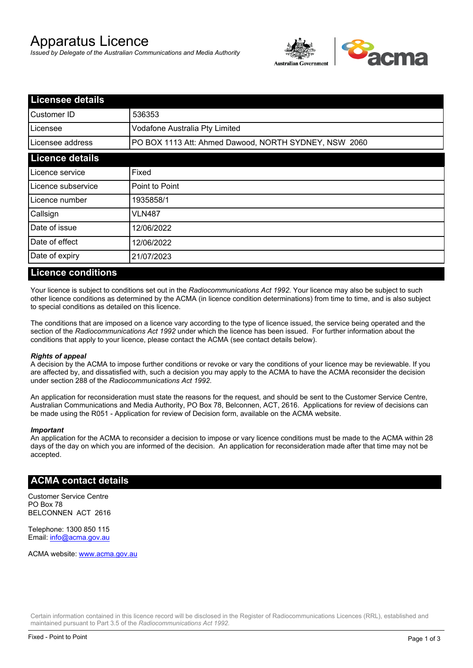# Apparatus Licence

*Issued by Delegate of the Australian Communications and Media Authority*



| <b>Licensee details</b> |                                                       |  |
|-------------------------|-------------------------------------------------------|--|
| lCustomer ID            | 536353                                                |  |
| l Licensee              | Vodafone Australia Pty Limited                        |  |
| Licensee address        | PO BOX 1113 Att: Ahmed Dawood, NORTH SYDNEY, NSW 2060 |  |
| <b>Licence details</b>  |                                                       |  |
| Licence service         | Fixed                                                 |  |
| Licence subservice      | Point to Point                                        |  |
| Licence number          | 1935858/1                                             |  |
| Callsign                | VLN487                                                |  |
| Date of issue           | 12/06/2022                                            |  |
| Date of effect          | 12/06/2022                                            |  |
| Date of expiry          | 21/07/2023                                            |  |

#### **Licence conditions**

Your licence is subject to conditions set out in the *Radiocommunications Act 1992*. Your licence may also be subject to such other licence conditions as determined by the ACMA (in licence condition determinations) from time to time, and is also subject to special conditions as detailed on this licence.

The conditions that are imposed on a licence vary according to the type of licence issued, the service being operated and the section of the *Radiocommunications Act 1992* under which the licence has been issued. For further information about the conditions that apply to your licence, please contact the ACMA (see contact details below).

#### *Rights of appeal*

A decision by the ACMA to impose further conditions or revoke or vary the conditions of your licence may be reviewable. If you are affected by, and dissatisfied with, such a decision you may apply to the ACMA to have the ACMA reconsider the decision under section 288 of the *Radiocommunications Act 1992*.

An application for reconsideration must state the reasons for the request, and should be sent to the Customer Service Centre, Australian Communications and Media Authority, PO Box 78, Belconnen, ACT, 2616. Applications for review of decisions can be made using the R051 - Application for review of Decision form, available on the ACMA website.

#### *Important*

An application for the ACMA to reconsider a decision to impose or vary licence conditions must be made to the ACMA within 28 days of the day on which you are informed of the decision. An application for reconsideration made after that time may not be accepted.

### **ACMA contact details**

Customer Service Centre PO Box 78 BELCONNEN ACT 2616

Telephone: 1300 850 115 Email: info@acma.gov.au

ACMA website: www.acma.gov.au

Certain information contained in this licence record will be disclosed in the Register of Radiocommunications Licences (RRL), established and maintained pursuant to Part 3.5 of the *Radiocommunications Act 1992.*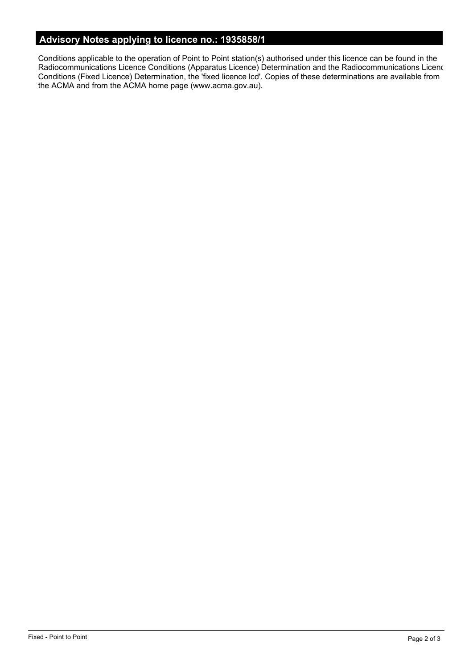# **Advisory Notes applying to licence no.: 1935858/1**

Conditions applicable to the operation of Point to Point station(s) authorised under this licence can be found in the Radiocommunications Licence Conditions (Apparatus Licence) Determination and the Radiocommunications Licence Conditions (Fixed Licence) Determination, the 'fixed licence lcd'. Copies of these determinations are available from the ACMA and from the ACMA home page (www.acma.gov.au).